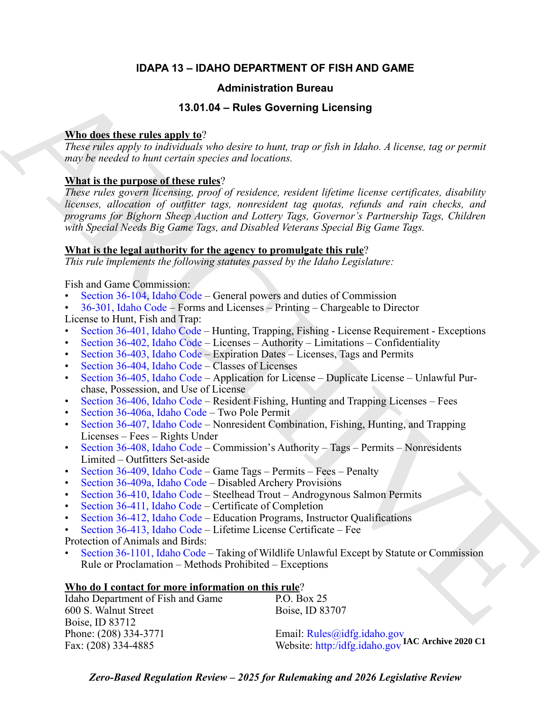# **IDAPA 13 – IDAHO DEPARTMENT OF FISH AND GAME**

# **Administration Bureau**

# **13.01.04 – Rules Governing Licensing**

# **Who does these rules apply to**?

*These rules apply to individuals who desire to hunt, trap or fish in Idaho. A license, tag or permit may be needed to hunt certain species and locations.* 

# **What is the purpose of these rules**?

**Administration Bureau<br>
13.01.04-Pulses Governing Liconsing<br>
13.01.04-Pulses Governing Liconsing<br>
13.001.06:<br>
These prioric optical withold state descriptions when the hand content<br>** *may by needed to have erroric property These rules govern licensing, proof of residence, resident lifetime license certificates, disability licenses, allocation of outfitter tags, nonresident tag quotas, refunds and rain checks, and programs for Bighorn Sheep Auction and Lottery Tags, Governor's Partnership Tags, Children with Special Needs Big Game Tags, and Disabled Veterans Special Big Game Tags.*

# **What is the legal authority for the agency to promulgate this rule**?

*This rule implements the following statutes passed by the Idaho Legislature:*

Fish and Game Commission:

- Section 36-104, Idaho Code General powers and duties of Commission
- 36-301, Idaho Code Forms and Licenses Printing Chargeable to Director

License to Hunt, Fish and Trap:

- Section 36-401, Idaho Code Hunting, Trapping, Fishing License Requirement Exceptions
- Section 36-402, Idaho Code Licenses Authority Limitations Confidentiality
- Section 36-403, Idaho Code Expiration Dates Licenses, Tags and Permits
- Section 36-404, Idaho Code Classes of Licenses
- Section 36-405, Idaho Code Application for License Duplicate License Unlawful Purchase, Possession, and Use of License
- Section 36-406, Idaho Code Resident Fishing, Hunting and Trapping Licenses Fees
- Section 36-406a, Idaho Code Two Pole Permit
- Section 36-407, Idaho Code Nonresident Combination, Fishing, Hunting, and Trapping Licenses – Fees – Rights Under
- Section 36-408, Idaho Code Commission's Authority Tags Permits Nonresidents Limited – Outfitters Set-aside
- Section 36-409, Idaho Code Game Tags Permits Fees Penalty
- Section 36-409a, Idaho Code Disabled Archery Provisions
- Section 36-410, Idaho Code Steelhead Trout Androgynous Salmon Permits
- Section 36-411, Idaho Code Certificate of Completion
- Section 36-412, Idaho Code Education Programs, Instructor Qualifications
- Section 36-413, Idaho Code Lifetime License Certificate Fee

Protection of Animals and Birds:

• Section 36-1101, Idaho Code – Taking of Wildlife Unlawful Except by Statute or Commission Rule or Proclamation – Methods Prohibited – Exceptions

# **Who do I contact for more information on this rule**?

| Idaho Department of Fish and Game | P.O. Box 25                                                                      |
|-----------------------------------|----------------------------------------------------------------------------------|
| 600 S. Walnut Street              | Boise, ID 83707                                                                  |
| Boise, ID 83712                   |                                                                                  |
| Phone: (208) 334-3771             |                                                                                  |
| Fax: (208) 334-4885               | Email: Rules@idfg.idaho.gov<br>Website: http:/idfg.idaho.gov IAC Archive 2020 C1 |
|                                   |                                                                                  |

*Zero-Based Regulation Review – 2025 for Rulemaking and 2026 Legislative Review*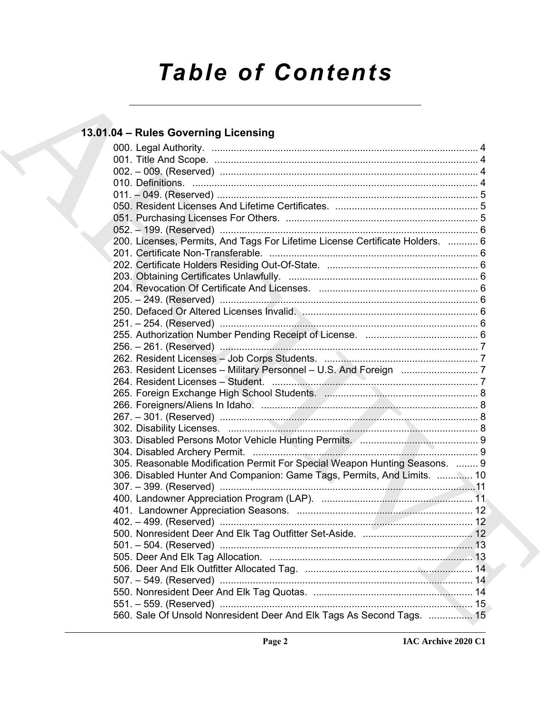# *Table of Contents*

# **13.01.04 – Rules Governing Licensing**

| 13.01.04 - Rules Governing Licensing                                          |  |
|-------------------------------------------------------------------------------|--|
|                                                                               |  |
|                                                                               |  |
|                                                                               |  |
|                                                                               |  |
|                                                                               |  |
|                                                                               |  |
|                                                                               |  |
|                                                                               |  |
| 200. Licenses, Permits, And Tags For Lifetime License Certificate Holders.  6 |  |
|                                                                               |  |
|                                                                               |  |
|                                                                               |  |
|                                                                               |  |
|                                                                               |  |
|                                                                               |  |
|                                                                               |  |
|                                                                               |  |
|                                                                               |  |
|                                                                               |  |
|                                                                               |  |
|                                                                               |  |
|                                                                               |  |
|                                                                               |  |
|                                                                               |  |
|                                                                               |  |
|                                                                               |  |
|                                                                               |  |
| 305. Reasonable Modification Permit For Special Weapon Hunting Seasons.  9    |  |
| 306. Disabled Hunter And Companion: Game Tags, Permits, And Limits.  10       |  |
|                                                                               |  |
|                                                                               |  |
|                                                                               |  |
|                                                                               |  |
|                                                                               |  |
| 501. – 504. (Reserved) …………………………………………………………………………… 13                       |  |
|                                                                               |  |
|                                                                               |  |
|                                                                               |  |
|                                                                               |  |
| 560. Sale Of Unsold Nonresident Deer And Elk Tags As Second Tags.  15         |  |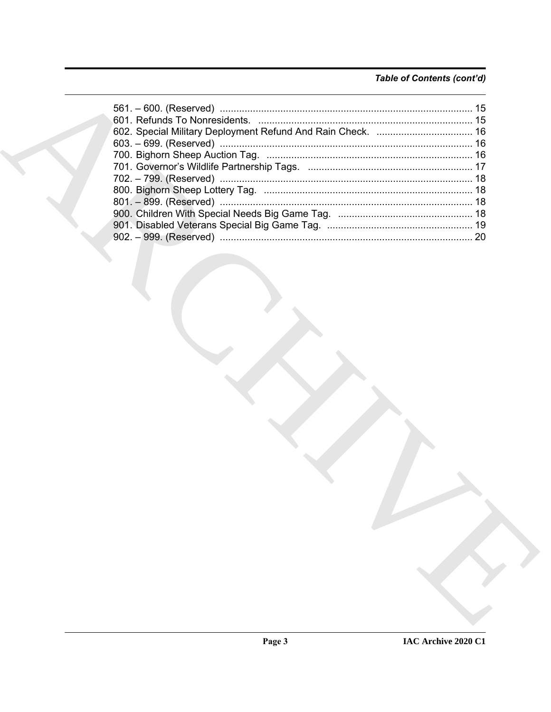# Table of Contents (cont'd)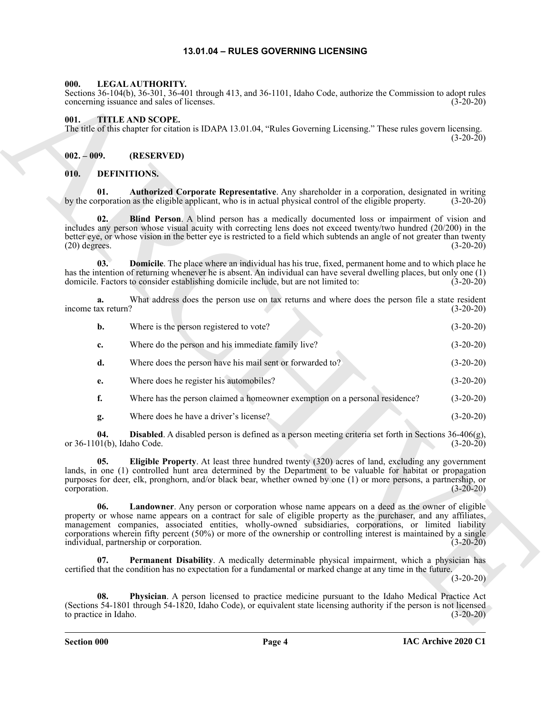# **13.01.04 – RULES GOVERNING LICENSING**

#### <span id="page-3-14"></span><span id="page-3-1"></span><span id="page-3-0"></span>**000. LEGAL AUTHORITY.**

#### <span id="page-3-15"></span><span id="page-3-2"></span>**001. TITLE AND SCOPE.**

#### <span id="page-3-9"></span><span id="page-3-7"></span><span id="page-3-6"></span><span id="page-3-5"></span><span id="page-3-4"></span><span id="page-3-3"></span>**010. DEFINITIONS.**

| 000.                              | LEGAL AUTHORITY.<br>Sections 36-104(b), 36-301, 36-401 through 413, and 36-1101, Idaho Code, authorize the Commission to adopt rules<br>concerning issuance and sales of licenses.                                                                                                                                                                                                                                                                                                                      | $(3-20-20)$ |
|-----------------------------------|---------------------------------------------------------------------------------------------------------------------------------------------------------------------------------------------------------------------------------------------------------------------------------------------------------------------------------------------------------------------------------------------------------------------------------------------------------------------------------------------------------|-------------|
| 001.                              | TITLE AND SCOPE.<br>The title of this chapter for citation is IDAPA 13.01.04, "Rules Governing Licensing." These rules govern licensing.                                                                                                                                                                                                                                                                                                                                                                | $(3-20-20)$ |
| $002. - 009.$                     | (RESERVED)                                                                                                                                                                                                                                                                                                                                                                                                                                                                                              |             |
| 010.                              | <b>DEFINITIONS.</b>                                                                                                                                                                                                                                                                                                                                                                                                                                                                                     |             |
| 01.                               | Authorized Corporate Representative. Any shareholder in a corporation, designated in writing<br>by the corporation as the eligible applicant, who is in actual physical control of the eligible property.                                                                                                                                                                                                                                                                                               | $(3-20-20)$ |
| 02.<br>$(20)$ degrees.            | <b>Blind Person</b> . A blind person has a medically documented loss or impairment of vision and<br>includes any person whose visual acuity with correcting lens does not exceed twenty/two hundred (20/200) in the<br>better eye, or whose vision in the better eye is restricted to a field which subtends an angle of not greater than twenty                                                                                                                                                        | $(3-20-20)$ |
| 03.                               | <b>Domicile</b> . The place where an individual has his true, fixed, permanent home and to which place he<br>has the intention of returning whenever he is absent. An individual can have several dwelling places, but only one (1)<br>domicile. Factors to consider establishing domicile include, but are not limited to:                                                                                                                                                                             | $(3-20-20)$ |
| a.<br>income tax return?          | What address does the person use on tax returns and where does the person file a state resident                                                                                                                                                                                                                                                                                                                                                                                                         | $(3-20-20)$ |
| b.                                | Where is the person registered to vote?                                                                                                                                                                                                                                                                                                                                                                                                                                                                 | $(3-20-20)$ |
| c.                                | Where do the person and his immediate family live?                                                                                                                                                                                                                                                                                                                                                                                                                                                      | $(3-20-20)$ |
| d.                                | Where does the person have his mail sent or forwarded to?                                                                                                                                                                                                                                                                                                                                                                                                                                               | $(3-20-20)$ |
| e.                                | Where does he register his automobiles?                                                                                                                                                                                                                                                                                                                                                                                                                                                                 | $(3-20-20)$ |
| f.                                | Where has the person claimed a homeowner exemption on a personal residence?                                                                                                                                                                                                                                                                                                                                                                                                                             | $(3-20-20)$ |
| g.                                | Where does he have a driver's license?                                                                                                                                                                                                                                                                                                                                                                                                                                                                  | $(3-20-20)$ |
| 04.<br>or 36-1101(b), Idaho Code. | <b>Disabled</b> . A disabled person is defined as a person meeting criteria set forth in Sections 36-406(g),                                                                                                                                                                                                                                                                                                                                                                                            | $(3-20-20)$ |
| 05.<br>corporation.               | Eligible Property. At least three hundred twenty (320) acres of land, excluding any government<br>lands, in one (1) controlled hunt area determined by the Department to be valuable for habitat or propagation<br>purposes for deer, elk, pronghorn, and/or black bear, whether owned by one (1) or more persons, a partnership, or                                                                                                                                                                    | $(3-20-20)$ |
| 06.                               | <b>Landowner</b> . Any person or corporation whose name appears on a deed as the owner of eligible<br>property or whose name appears on a contract for sale of eligible property as the purchaser, and any affiliates,<br>management companies, associated entities, wholly-owned subsidiaries, corporations, or limited liability<br>corporations wherein fifty percent $(50\%)$ or more of the ownership or controlling interest is maintained by a single<br>individual, partnership or corporation. | $(3-20-20)$ |
| 07.                               | Permanent Disability. A medically determinable physical impairment, which a physician has<br>certified that the condition has no expectation for a fundamental or marked change at any time in the future.                                                                                                                                                                                                                                                                                              | $(3-20-20)$ |
| 08.<br>to practice in Idaho.      | Physician. A person licensed to practice medicine pursuant to the Idaho Medical Practice Act<br>(Sections 54-1801 through 54-1820, Idaho Code), or equivalent state licensing authority if the person is not licensed                                                                                                                                                                                                                                                                                   | $(3-20-20)$ |
|                                   |                                                                                                                                                                                                                                                                                                                                                                                                                                                                                                         |             |

<span id="page-3-13"></span><span id="page-3-12"></span><span id="page-3-11"></span><span id="page-3-10"></span><span id="page-3-8"></span>**Section 000 Page 4**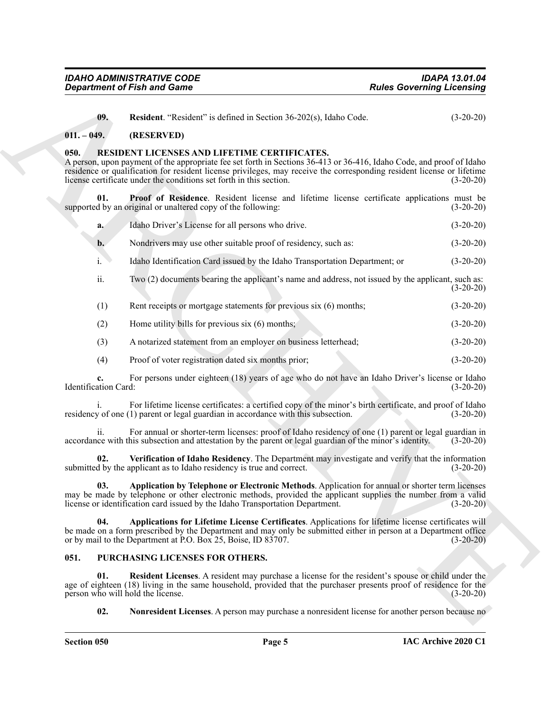| IDAHO ADMINISTRATIVE CODE          | IDAPA 13.01.04                   |
|------------------------------------|----------------------------------|
| <b>Department of Fish and Game</b> | <b>Rules Governing Licensing</b> |

<span id="page-4-7"></span><span id="page-4-3"></span>**09. Resident**. "Resident" is defined in Section 36-202(s), Idaho Code. (3-20-20)

#### <span id="page-4-0"></span>**011. – 049. (RESERVED)**

#### <span id="page-4-1"></span>**050. RESIDENT LICENSES AND LIFETIME CERTIFICATES.**

A person, upon payment of the appropriate fee set forth in Sections 36-413 or 36-416, Idaho Code, and proof of Idaho residence or qualification for resident license privileges, may receive the corresponding resident license or lifetime license certificate under the conditions set forth in this section. (3-20-20)

**01. Proof of Residence**. Resident license and lifetime license certificate applications must be supported by an original or unaltered copy of the following: (3-20-20)

<span id="page-4-9"></span>

| a. | Idaho Driver's License for all persons who drive.              | $(3-20-20)$ |
|----|----------------------------------------------------------------|-------------|
|    | Nondrivers may use other suitable proof of residency, such as: | $(3-20-20)$ |

- i. Idaho Identification Card issued by the Idaho Transportation Department; or (3-20-20)
- ii. Two (2) documents bearing the applicant's name and address, not issued by the applicant, such as: (3-20-20)
- (1) Rent receipts or mortgage statements for previous six (6) months; (3-20-20)
- (2) Home utility bills for previous six (6) months; (3-20-20)
- (3) A notarized statement from an employer on business letterhead; (3-20-20)
- (4) Proof of voter registration dated six months prior; (3-20-20)

**c.** For persons under eighteen (18) years of age who do not have an Idaho Driver's license or Idaho ation Card: (3-20-20) Identification Card:

i. For lifetime license certificates: a certified copy of the minor's birth certificate, and proof of Idaho y of one (1) parent or legal guardian in accordance with this subsection. (3-20-20) residency of one  $(1)$  parent or legal guardian in accordance with this subsection.

ii. For annual or shorter-term licenses: proof of Idaho residency of one (1) parent or legal guardian in accordance with this subsection and attestation by the parent or legal guardian of the minor's identity. (3-20-20)

<span id="page-4-10"></span><span id="page-4-8"></span>**02. Verification of Idaho Residency**. The Department may investigate and verify that the information submitted by the applicant as to Idaho residency is true and correct. (3-20-20)

**Considered of Fish and Game**<br> **Considered the solution of School 19 (added in Section 19 (2012), that<br>
(B). Readen Considered The solution of the solution of the solution of the solution of the solution of the solution o 03. Application by Telephone or Electronic Methods**. Application for annual or shorter term licenses may be made by telephone or other electronic methods, provided the applicant supplies the number from a valid license or identification card issued by the Idaho Transportation Department. (3-20-20)

<span id="page-4-11"></span>**04. Applications for Lifetime License Certificates**. Applications for lifetime license certificates will be made on a form prescribed by the Department and may only be submitted either in person at a Department office or by mail to the Department at P.O. Box 25, Boise, ID 83707.

#### <span id="page-4-4"></span><span id="page-4-2"></span>**051. PURCHASING LICENSES FOR OTHERS.**

**01. Resident Licenses**. A resident may purchase a license for the resident's spouse or child under the age of eighteen (18) living in the same household, provided that the purchaser presents proof of residence for the person who will hold the license. (3-20-20)

<span id="page-4-6"></span><span id="page-4-5"></span>**02.** Nonresident Licenses. A person may purchase a nonresident license for another person because no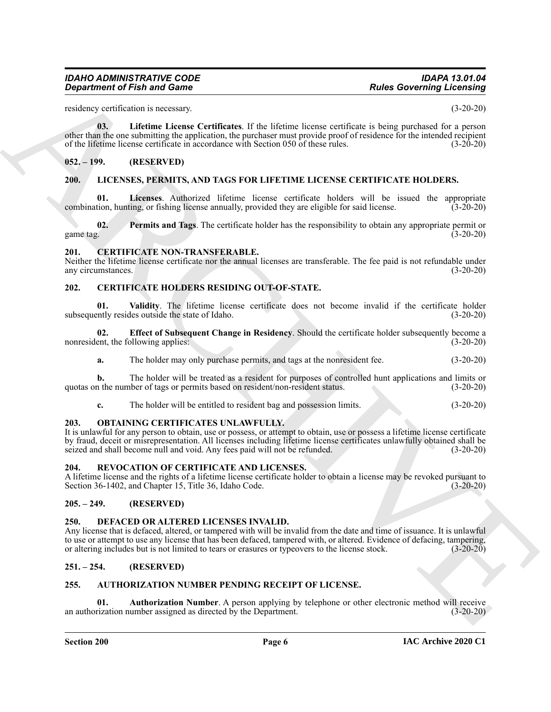#### *IDAHO ADMINISTRATIVE CODE IDAPA 13.01.04 Department of Fish and Game*

residency certification is necessary. (3-20-20)

<span id="page-5-21"></span>**03. Lifetime License Certificates**. If the lifetime license certificate is being purchased for a person other than the one submitting the application, the purchaser must provide proof of residence for the intended recipient of the lifetime license certificate in accordance with Section 050 of these rules. (3-20-20)

#### <span id="page-5-0"></span>**052. – 199. (RESERVED)**

#### <span id="page-5-17"></span><span id="page-5-1"></span>**200. LICENSES, PERMITS, AND TAGS FOR LIFETIME LICENSE CERTIFICATE HOLDERS.**

<span id="page-5-18"></span>**01.** Licenses. Authorized lifetime license certificate holders will be issued the appropriate tion, hunting, or fishing license annually, provided they are eligible for said license. (3-20-20) combination, hunting, or fishing license annually, provided they are eligible for said license.

<span id="page-5-19"></span>**02. Permits and Tags**. The certificate holder has the responsibility to obtain any appropriate permit or game tag.  $(3-20-20)$ 

#### <span id="page-5-15"></span><span id="page-5-2"></span>**201. CERTIFICATE NON-TRANSFERABLE.**

Neither the lifetime license certificate nor the annual licenses are transferable. The fee paid is not refundable under any circumstances. (3-20-20)

# <span id="page-5-12"></span><span id="page-5-3"></span>**202. CERTIFICATE HOLDERS RESIDING OUT-OF-STATE.**

<span id="page-5-14"></span>**01. Validity**. The lifetime license certificate does not become invalid if the certificate holder subsequently resides outside the state of Idaho. (3-20-20)

**02. Effect of Subsequent Change in Residency**. Should the certificate holder subsequently become a nonresident, the following applies: (3-20-20)

<span id="page-5-13"></span>**a.** The holder may only purchase permits, and tags at the nonresident fee. (3-20-20)

**b.** The holder will be treated as a resident for purposes of controlled hunt applications and limits or quotas on the number of tags or permits based on resident/non-resident status. (3-20-20)

<span id="page-5-20"></span>**c.** The holder will be entitled to resident bag and possession limits. (3-20-20)

#### <span id="page-5-4"></span>**203. OBTAINING CERTIFICATES UNLAWFULLY.**

**Equation of Fish and Games**<br> **Rober Goodwing Licenship (Excelsion**)<br>
Scale of the anti-section coefficience of the latter issue coefficiency in the specifical state of the anti-<br>
specific in the anti-section of the speci It is unlawful for any person to obtain, use or possess, or attempt to obtain, use or possess a lifetime license certificate by fraud, deceit or misrepresentation. All licenses including lifetime license certificates unlawfully obtained shall be seized and shall become null and void. Any fees paid will not be refunded. (3-20-20)

#### <span id="page-5-22"></span><span id="page-5-5"></span>**204. REVOCATION OF CERTIFICATE AND LICENSES.**

A lifetime license and the rights of a lifetime license certificate holder to obtain a license may be revoked pursuant to Section 36-1402, and Chapter 15, Title 36, Idaho Code. (3-20-20)

#### <span id="page-5-6"></span>**205. – 249. (RESERVED)**

#### <span id="page-5-16"></span><span id="page-5-7"></span>**250. DEFACED OR ALTERED LICENSES INVALID.**

Any license that is defaced, altered, or tampered with will be invalid from the date and time of issuance. It is unlawful to use or attempt to use any license that has been defaced, tampered with, or altered. Evidence of defacing, tampering, or altering includes but is not limited to tears or erasures or typeovers to the license stock. (3-20or altering includes but is not limited to tears or erasures or typeovers to the license stock.

#### <span id="page-5-8"></span>**251. – 254. (RESERVED)**

# <span id="page-5-10"></span><span id="page-5-9"></span>**255. AUTHORIZATION NUMBER PENDING RECEIPT OF LICENSE.**

<span id="page-5-11"></span>**01. Authorization Number**. A person applying by telephone or other electronic method will receive an authorization number assigned as directed by the Department. (3-20-20)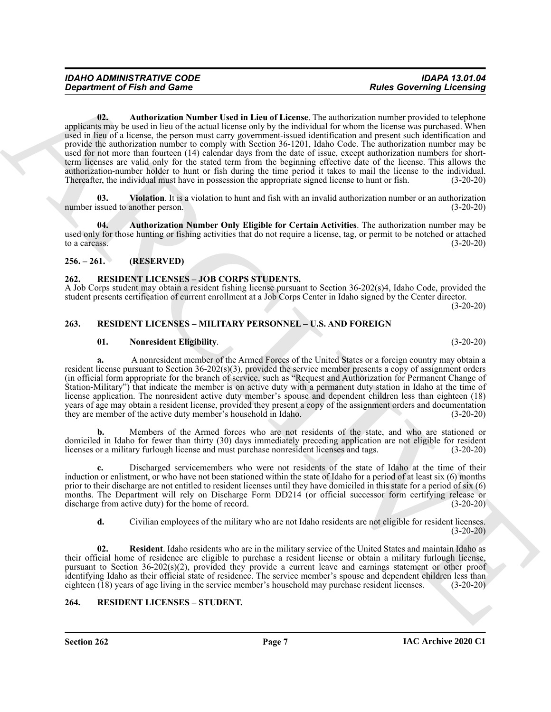*Great freehold of Fish and Game*<br> **Consistence of Fish and Game**<br> **Consistence of Fish and Game**<br> **Consistence of Fish and Game Card in Lieu of Liesman, The subset and constraints make the subset of the phase<br>
<b>Consist 02. Authorization Number Used in Lieu of License**. The authorization number provided to telephone applicants may be used in lieu of the actual license only by the individual for whom the license was purchased. When used in lieu of a license, the person must carry government-issued identification and present such identification and provide the authorization number to comply with Section 36-1201, Idaho Code. The authorization number may be used for not more than fourteen (14) calendar days from the date of issue, except authorization numbers for shortterm licenses are valid only for the stated term from the beginning effective date of the license. This allows the authorization-number holder to hunt or fish during the time period it takes to mail the license to the individual. Thereafter, the individual must have in possession the appropriate signed license to hunt or fish. (3-20-20)

<span id="page-6-6"></span><span id="page-6-5"></span>**03. Violation**. It is a violation to hunt and fish with an invalid authorization number or an authorization number issued to another person. (3-20-20)

<span id="page-6-4"></span>**04. Authorization Number Only Eligible for Certain Activities**. The authorization number may be used only for those hunting or fishing activities that do not require a license, tag, or permit to be notched or attached to a carcass.  $(3-20-20)$ 

# <span id="page-6-0"></span>**256. – 261. (RESERVED)**

# <span id="page-6-7"></span><span id="page-6-1"></span>**262. RESIDENT LICENSES – JOB CORPS STUDENTS.**

A Job Corps student may obtain a resident fishing license pursuant to Section 36-202(s)4, Idaho Code, provided the student presents certification of current enrollment at a Job Corps Center in Idaho signed by the Center director. (3-20-20)

# <span id="page-6-2"></span>**263. RESIDENT LICENSES – MILITARY PERSONNEL – U.S. AND FOREIGN**

#### <span id="page-6-8"></span>**01. Nonresident Eligibility**. (3-20-20)

**a.** A nonresident member of the Armed Forces of the United States or a foreign country may obtain a resident license pursuant to Section 36-202(s)(3), provided the service member presents a copy of assignment orders (in official form appropriate for the branch of service, such as "Request and Authorization for Permanent Change of Station-Military") that indicate the member is on active duty with a permanent duty station in Idaho at the time of license application. The nonresident active duty member's spouse and dependent children less than eighteen (18) years of age may obtain a resident license, provided they present a copy of the assignment orders and documentation they are member of the active duty member's household in Idaho. (3-20-20)

**b.** Members of the Armed forces who are not residents of the state, and who are stationed or domiciled in Idaho for fewer than thirty (30) days immediately preceding application are not eligible for resident licenses or a military furlough license and must purchase nonresident licenses and tags. (3-20-20)

**c.** Discharged servicemembers who were not residents of the state of Idaho at the time of their induction or enlistment, or who have not been stationed within the state of Idaho for a period of at least six (6) months prior to their discharge are not entitled to resident licenses until they have domiciled in this state for a period of six (6) months. The Department will rely on Discharge Form DD214 (or official successor form certifying release or discharge from active duty) for the home of record. (3-20-20)

<span id="page-6-9"></span>**d.** Civilian employees of the military who are not Idaho residents are not eligible for resident licenses.  $(3-20-20)$ 

**02. Resident**. Idaho residents who are in the military service of the United States and maintain Idaho as their official home of residence are eligible to purchase a resident license or obtain a military furlough license, pursuant to Section 36-202(s)(2), provided they provide a current leave and earnings statement or other proof identifying Idaho as their official state of residence. The service member's spouse and dependent children less than eighteen (18) years of age living in the service member's household may purchase resident licenses. (3-20-20)

# <span id="page-6-10"></span><span id="page-6-3"></span>**264. RESIDENT LICENSES – STUDENT.**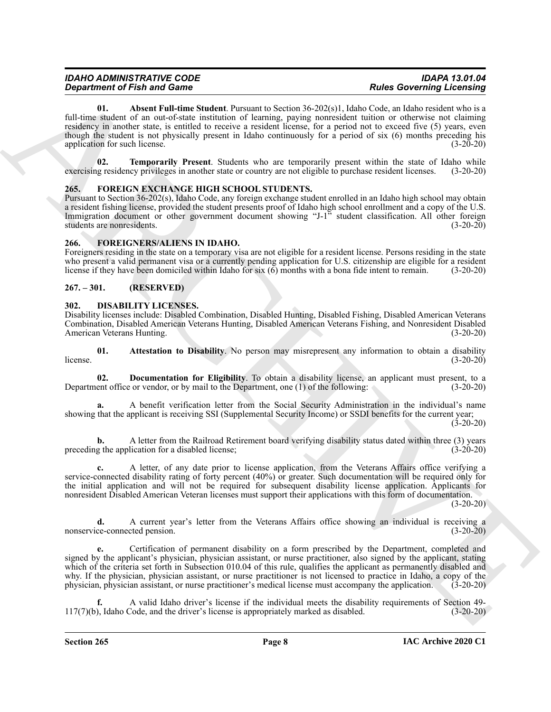| <b>IDAHO ADMINISTRATIVE CODE</b>   | <b>IDAPA 13.01.04</b>            |
|------------------------------------|----------------------------------|
| <b>Department of Fish and Game</b> | <b>Rules Governing Licensing</b> |

<span id="page-7-9"></span>**01.** Absent Full-time Student. Pursuant to Section 36-202(s)1, Idaho Code, an Idaho resident who is a full-time student of an out-of-state institution of learning, paying nonresident tuition or otherwise not claiming residency in another state, is entitled to receive a resident license, for a period not to exceed five (5) years, even though the student is not physically present in Idaho continuously for a period of six (6) months preceding his application for such license. (3-20-20)

<span id="page-7-10"></span>**02. Temporarily Present**. Students who are temporarily present within the state of Idaho while exercising residency privileges in another state or country are not eligible to purchase resident licenses. (3-20-20)

#### <span id="page-7-7"></span><span id="page-7-0"></span>**265. FOREIGN EXCHANGE HIGH SCHOOL STUDENTS.**

Pursuant to Section 36-202(s), Idaho Code, any foreign exchange student enrolled in an Idaho high school may obtain a resident fishing license, provided the student presents proof of Idaho high school enrollment and a copy of the U.S. Immigration document or other government document showing "J-1" student classification. All other foreign students are nonresidents. (3-20-20)

#### <span id="page-7-8"></span><span id="page-7-1"></span>**266. FOREIGNERS/ALIENS IN IDAHO.**

Foreigners residing in the state on a temporary visa are not eligible for a resident license. Persons residing in the state who present a valid permanent visa or a currently pending application for U.S. citizenship are eligible for a resident license if they have been domiciled within Idaho for six (6) months with a bona fide intent to remain. (3-20-20)

#### <span id="page-7-2"></span>**267. – 301. (RESERVED)**

#### <span id="page-7-4"></span><span id="page-7-3"></span>**302. DISABILITY LICENSES.**

Disability licenses include: Disabled Combination, Disabled Hunting, Disabled Fishing, Disabled American Veterans Combination, Disabled American Veterans Hunting, Disabled American Veterans Fishing, and Nonresident Disabled American Veterans Hunting.

<span id="page-7-5"></span>**01.** Attestation to Disability. No person may misrepresent any information to obtain a disability (3-20-20) license.  $(3-20-20)$ 

<span id="page-7-6"></span>**02. Documentation for Eligibility**. To obtain a disability license, an applicant must present, to a Department office or vendor, or by mail to the Department, one (1) of the following: (3-20-20)

**a.** A benefit verification letter from the Social Security Administration in the individual's name showing that the applicant is receiving SSI (Supplemental Security Income) or SSDI benefits for the current year; (3-20-20)

**b.** A letter from the Railroad Retirement board verifying disability status dated within three (3) years preceding the application for a disabled license; (3-20-20)

**c.** A letter, of any date prior to license application, from the Veterans Affairs office verifying a service-connected disability rating of forty percent (40%) or greater. Such documentation will be required only for the initial application and will not be required for subsequent disability license application. Applicants for nonresident Disabled American Veteran licenses must support their applications with this form of documentation.

 $(3-20-20)$ 

**d.** A current year's letter from the Veterans Affairs office showing an individual is receiving a nonservice-connected pension. (3-20-20)

*Department of Friedrich* State Simulation Compute System 35-202/cd, *Color Computer System State Simulation Computer System State Simulation Computer System State Simulation Computer System State Simulation Computer S* **e.** Certification of permanent disability on a form prescribed by the Department, completed and signed by the applicant's physician, physician assistant, or nurse practitioner, also signed by the applicant, stating which of the criteria set forth in Subsection 010.04 of this rule, qualifies the applicant as permanently disabled and why. If the physician, physician assistant, or nurse practitioner is not licensed to practice in Idaho, a copy of the physician, physician assistant, or nurse practitioner's medical license must accompany the application. (3-20-20)

**f.** A valid Idaho driver's license if the individual meets the disability requirements of Section 49- 117(7)(b), Idaho Code, and the driver's license is appropriately marked as disabled. (3-20-20)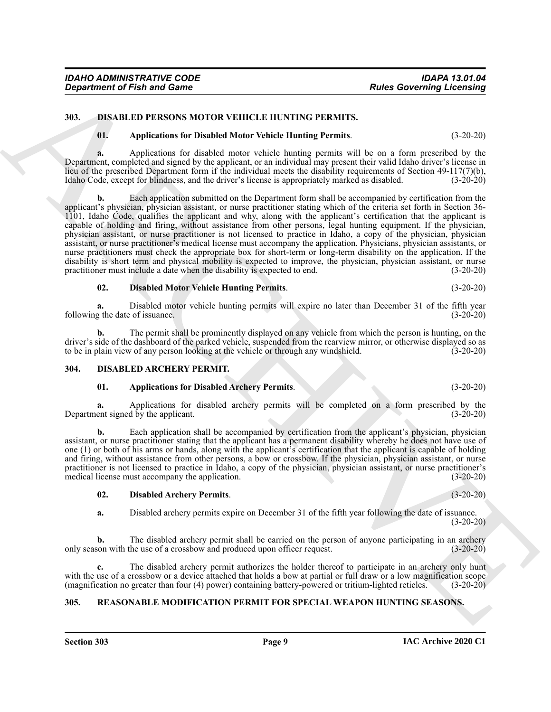*Department of Fish and Game* 

# <span id="page-8-0"></span>**303. DISABLED PERSONS MOTOR VEHICLE HUNTING PERMITS.**

# <span id="page-8-7"></span><span id="page-8-6"></span>**01. Applications for Disabled Motor Vehicle Hunting Permits**. (3-20-20)

**a.** Applications for disabled motor vehicle hunting permits will be on a form prescribed by the Department, completed and signed by the applicant, or an individual may present their valid Idaho driver's license in lieu of the prescribed Department form if the individual meets the disability requirements of Section 49-117(7)(b), Idaho Code, except for blindness, and the driver's license is appropriately marked as disabled. (3-20-20)

**Equation of Fish and Game<br>
310. Displaced and Game<br>
310. Displaced and Game<br>
310. Displaced and Game<br>
410. Application for Phashel Motor Velick Limiting Permits.<br>
11. Application for Phashel Motor Velick Limiting Permits b.** Each application submitted on the Department form shall be accompanied by certification from the applicant's physician, physician assistant, or nurse practitioner stating which of the criteria set forth in Section 36- 1101, Idaho Code, qualifies the applicant and why, along with the applicant's certification that the applicant is capable of holding and firing, without assistance from other persons, legal hunting equipment. If the physician, physician assistant, or nurse practitioner is not licensed to practice in Idaho, a copy of the physician, physician assistant, or nurse practitioner's medical license must accompany the application. Physicians, physician assistants, or nurse practitioners must check the appropriate box for short-term or long-term disability on the application. If the disability is short term and physical mobility is expected to improve, the physician, physician assistant, or nurse practitioner must include a date when the disability is expected to end. (3-20-20)

#### <span id="page-8-8"></span>**02. Disabled Motor Vehicle Hunting Permits**. (3-20-20)

**a.** Disabled motor vehicle hunting permits will expire no later than December 31 of the fifth year following the date of issuance. (3-20-20)

**b.** The permit shall be prominently displayed on any vehicle from which the person is hunting, on the driver's side of the dashboard of the parked vehicle, suspended from the rearview mirror, or otherwise displayed so as to be in plain view of any person looking at the vehicle or through any windshield. (3-20-20) to be in plain view of any person looking at the vehicle or through any windshield.

#### <span id="page-8-1"></span>**304. DISABLED ARCHERY PERMIT.**

#### <span id="page-8-4"></span><span id="page-8-3"></span>**01. Applications for Disabled Archery Permits**. (3-20-20)

**a.** Applications for disabled archery permits will be completed on a form prescribed by the ent signed by the applicant. (3-20-20) Department signed by the applicant.

**b.** Each application shall be accompanied by certification from the applicant's physician, physician assistant, or nurse practitioner stating that the applicant has a permanent disability whereby he does not have use of one (1) or both of his arms or hands, along with the applicant's certification that the applicant is capable of holding and firing, without assistance from other persons, a bow or crossbow. If the physician, physician assistant, or nurse practitioner is not licensed to practice in Idaho, a copy of the physician, physician assistant, or nurse practitioner's medical license must accompany the application. (3-20-20)

#### <span id="page-8-5"></span>**02. Disabled Archery Permits**. (3-20-20)

**a.** Disabled archery permits expire on December 31 of the fifth year following the date of issuance.  $(3-20-20)$ 

**b.** The disabled archery permit shall be carried on the person of anyone participating in an archery son with the use of a crossbow and produced upon officer request. (3-20-20) only season with the use of a crossbow and produced upon officer request.

**c.** The disabled archery permit authorizes the holder thereof to participate in an archery only hunt with the use of a crossbow or a device attached that holds a bow at partial or full draw or a low magnification scope (magnification no greater than four (4) power) containing battery-powered or tritium-lighted reticles. (3-20-20)

# <span id="page-8-9"></span><span id="page-8-2"></span>**305. REASONABLE MODIFICATION PERMIT FOR SPECIAL WEAPON HUNTING SEASONS.**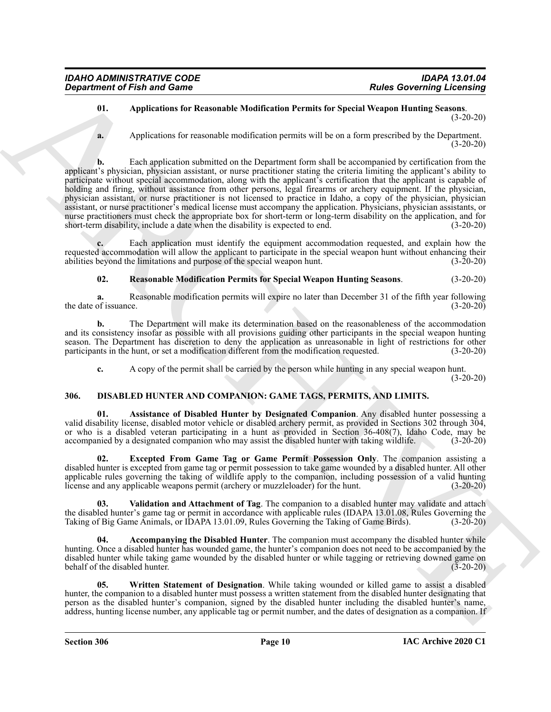#### <span id="page-9-7"></span>**01. Applications for Reasonable Modification Permits for Special Weapon Hunting Seasons**. (3-20-20)

**a.** Applications for reasonable modification permits will be on a form prescribed by the Department. (3-20-20)

Generation of Fish and Games<br>
0. Applications for the Dosemande Modification Permits for Street Oceaning Lecensing Lecensing<br>
4. Applications for Assemblance Remits of Museumann Commits for Successive Street Oceaning Secu **b.** Each application submitted on the Department form shall be accompanied by certification from the applicant's physician, physician assistant, or nurse practitioner stating the criteria limiting the applicant's ability to participate without special accommodation, along with the applicant's certification that the applicant is capable of holding and firing, without assistance from other persons, legal firearms or archery equipment. If the physician, physician assistant, or nurse practitioner is not licensed to practice in Idaho, a copy of the physician, physician assistant, or nurse practitioner's medical license must accompany the application. Physicians, physician assistants, or nurse practitioners must check the appropriate box for short-term or long-term disability on the application, and for short-term disability, include a date when the disability is expected to end. (3-20-20)

**c.** Each application must identify the equipment accommodation requested, and explain how the requested accommodation will allow the applicant to participate in the special weapon hunt without enhancing their abilities beyond the limitations and purpose of the special weapon hunt. (3-20-20)

<span id="page-9-8"></span>**02. Reasonable Modification Permits for Special Weapon Hunting Seasons**. (3-20-20)

**a.** Reasonable modification permits will expire no later than December 31 of the fifth year following of issuance. (3-20-20) the date of issuance.

**b.** The Department will make its determination based on the reasonableness of the accommodation and its consistency insofar as possible with all provisions guiding other participants in the special weapon hunting season. The Department has discretion to deny the application as unreasonable in light of restrictions for other participants in the hunt, or set a modification different from the modification requested. (3-20-20) participants in the hunt, or set a modification different from the modification requested.

<span id="page-9-3"></span><span id="page-9-1"></span>**c.** A copy of the permit shall be carried by the person while hunting in any special weapon hunt. (3-20-20)

# <span id="page-9-0"></span>**306. DISABLED HUNTER AND COMPANION: GAME TAGS, PERMITS, AND LIMITS.**

**01. Assistance of Disabled Hunter by Designated Companion**. Any disabled hunter possessing a valid disability license, disabled motor vehicle or disabled archery permit, as provided in Sections 302 through 304, or who is a disabled veteran participating in a hunt as provided in Section 36-408(7), Idaho Code, may be accompanied by a designated companion who may assist the disabled hunter with taking wildlife. (3-20-20)

<span id="page-9-4"></span>**02. Excepted From Game Tag or Game Permit Possession Only**. The companion assisting a disabled hunter is excepted from game tag or permit possession to take game wounded by a disabled hunter. All other applicable rules governing the taking of wildlife apply to the companion, including possession of a valid hunting license and any applicable weapons permit (archery or muzzleloader) for the hunt. (3-20-20)

<span id="page-9-5"></span>**03. Validation and Attachment of Tag**. The companion to a disabled hunter may validate and attach the disabled hunter's game tag or permit in accordance with applicable rules (IDAPA 13.01.08, Rules Governing the Taking of Big Game Animals, or IDAPA 13.01.09, Rules Governing the Taking of Game Birds). (3-20-20)

<span id="page-9-2"></span>**04. Accompanying the Disabled Hunter**. The companion must accompany the disabled hunter while hunting. Once a disabled hunter has wounded game, the hunter's companion does not need to be accompanied by the disabled hunter while taking game wounded by the disabled hunter or while tagging or retrieving downed game on behalf of the disabled hunter. (3-20-20)

<span id="page-9-6"></span>**05. Written Statement of Designation**. While taking wounded or killed game to assist a disabled hunter, the companion to a disabled hunter must possess a written statement from the disabled hunter designating that person as the disabled hunter's companion, signed by the disabled hunter including the disabled hunter's name, address, hunting license number, any applicable tag or permit number, and the dates of designation as a companion. If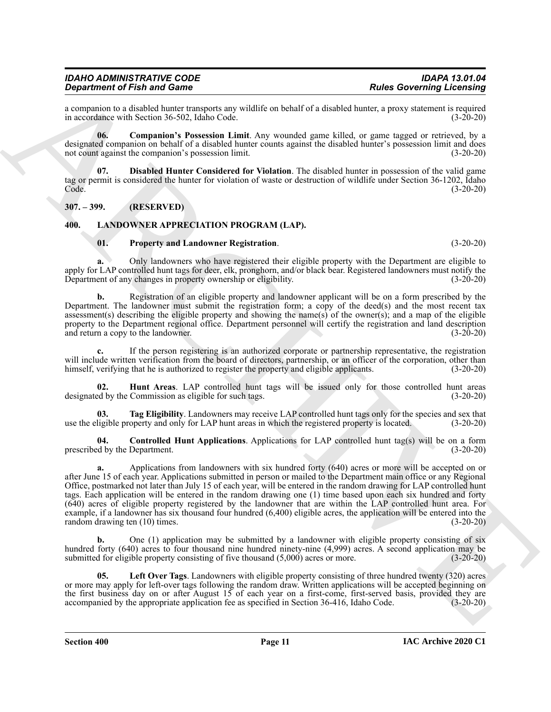#### *IDAHO ADMINISTRATIVE CODE IDAPA 13.01.04 Department of Fish and Game*

a companion to a disabled hunter transports any wildlife on behalf of a disabled hunter, a proxy statement is required<br>in accordance with Section 36-502, Idaho Code. (3-20-20) in accordance with Section 36-502, Idaho Code.

<span id="page-10-2"></span>**06. Companion's Possession Limit**. Any wounded game killed, or game tagged or retrieved, by a designated companion on behalf of a disabled hunter counts against the disabled hunter's possession limit and does not count against the companion's possession limit. (3-20-20)

<span id="page-10-3"></span>**07. Disabled Hunter Considered for Violation**. The disabled hunter in possession of the valid game tag or permit is considered the hunter for violation of waste or destruction of wildlife under Section 36-1202, Idaho Code. (3-20-20)

#### <span id="page-10-0"></span>**307. – 399. (RESERVED)**

#### <span id="page-10-1"></span>**400. LANDOWNER APPRECIATION PROGRAM (LAP).**

#### <span id="page-10-8"></span><span id="page-10-4"></span>**01. Property and Landowner Registration**. (3-20-20)

**a.** Only landowners who have registered their eligible property with the Department are eligible to apply for LAP controlled hunt tags for deer, elk, pronghorn, and/or black bear. Registered landowners must notify the Department of any changes in property ownership or eligibility. (3-20-20)

**b.** Registration of an eligible property and landowner applicant will be on a form prescribed by the Department. The landowner must submit the registration form; a copy of the deed(s) and the most recent tax assessment(s) describing the eligible property and showing the name(s) of the owner(s); and a map of the eligible property to the Department regional office. Department personnel will certify the registration and land description and return a copy to the landowner. (3-20-20)

**c.** If the person registering is an authorized corporate or partnership representative, the registration will include written verification from the board of directors, partnership, or an officer of the corporation, other than himself, verifying that he is authorized to register the property and eligible applicants. (3-20-20) (3-20-20)

<span id="page-10-6"></span>**02. Hunt Areas**. LAP controlled hunt tags will be issued only for those controlled hunt areas designated by the Commission as eligible for such tags. (3-20-20)

<span id="page-10-9"></span>**03. Tag Eligibility**. Landowners may receive LAP controlled hunt tags only for the species and sex that use the eligible property and only for LAP hunt areas in which the registered property is located. (3-20-20)

<span id="page-10-5"></span>**04. Controlled Hunt Applications**. Applications for LAP controlled hunt tag(s) will be on a form prescribed by the Department. (3-20-20)

**Experimental Friedrich Construction** any validie on behind the sheets Governing Licensing<br>
in account of Friedrich Construction and the sheet of states and the sheet of the sheet of the sheet of the sheet of the sheet of **a.** Applications from landowners with six hundred forty (640) acres or more will be accepted on or after June 15 of each year. Applications submitted in person or mailed to the Department main office or any Regional Office, postmarked not later than July 15 of each year, will be entered in the random drawing for LAP controlled hunt tags. Each application will be entered in the random drawing one (1) time based upon each six hundred and forty (640) acres of eligible property registered by the landowner that are within the LAP controlled hunt area. For example, if a landowner has six thousand four hundred (6,400) eligible acres, the application will be entered into the random drawing ten (10) times. (3-20-20)

**b.** One (1) application may be submitted by a landowner with eligible property consisting of six hundred forty (640) acres to four thousand nine hundred ninety-nine (4,999) acres. A second application may be submitted for eligible property consisting of five thousand  $(5,000)$  acres or more. (3-20-20)

<span id="page-10-7"></span>**05. Left Over Tags**. Landowners with eligible property consisting of three hundred twenty (320) acres or more may apply for left-over tags following the random draw. Written applications will be accepted beginning on the first business day on or after August 15 of each year on a first-come, first-served basis, provided they are accompanied by the appropriate application fee as specified in Section 36-416, Idaho Code.  $(3-20-20)$ accompanied by the appropriate application fee as specified in Section 36-416, Idaho Code.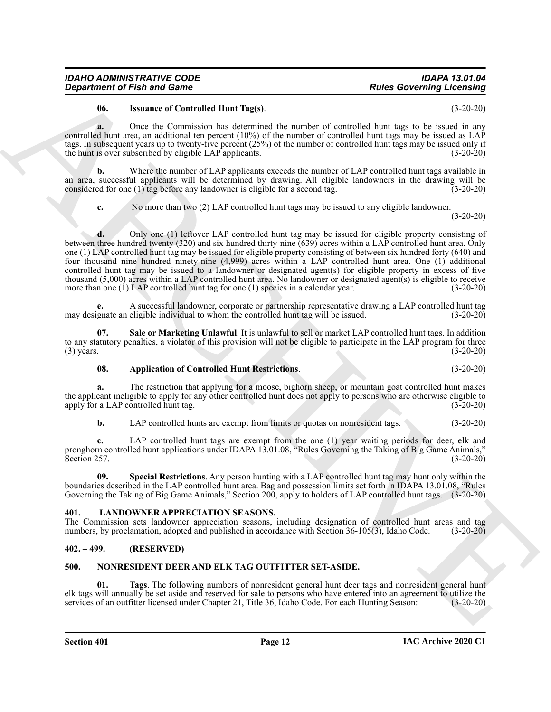#### <span id="page-11-4"></span>**06. Issuance of Controlled Hunt Tag(s)**. (3-20-20)

**a.** Once the Commission has determined the number of controlled hunt tags to be issued in any controlled hunt area, an additional ten percent  $(10%)$  of the number of controlled hunt tags may be issued as LAP tags. In subsequent years up to twenty-five percent (25%) of the number of controlled hunt tags may be issued only if the hunt is over subscribed by eligible LAP applicants. (3-20-20)

**b.** Where the number of LAP applicants exceeds the number of LAP controlled hunt tags available in an area, successful applicants will be determined by drawing. All eligible landowners in the drawing will be considered for one (1) tag before any landowner is eligible for a second tag. (3-20-20)

**c.** No more than two (2) LAP controlled hunt tags may be issued to any eligible landowner.

(3-20-20)

**Department of Fish and Game<br>
Universe Contribute Islam Register<br>
Scaling Scans Contribute Islam Register<br>
Scans Contribute Islam Register<br>
Scans Contribute Islam Register (Scans Contribute Contribute Islam Register For t d.** Only one (1) leftover LAP controlled hunt tag may be issued for eligible property consisting of between three hundred twenty (320) and six hundred thirty-nine (639) acres within a LAP controlled hunt area. Only one (1) LAP controlled hunt tag may be issued for eligible property consisting of between six hundred forty (640) and four thousand nine hundred ninety-nine (4,999) acres within a LAP controlled hunt area. One (1) additional controlled hunt tag may be issued to a landowner or designated agent(s) for eligible property in excess of five thousand (5,000) acres within a LAP controlled hunt area. No landowner or designated agent(s) is eligible to receive more than one (1) LAP controlled hunt tag for one (1) species in a calendar year. (3-20-20)

**e.** A successful landowner, corporate or partnership representative drawing a LAP controlled hunt tag may designate an eligible individual to whom the controlled hunt tag will be issued. (3-20-20)

**07. Sale or Marketing Unlawful**. It is unlawful to sell or market LAP controlled hunt tags. In addition to any statutory penalties, a violator of this provision will not be eligible to participate in the LAP program for three (3) years. (3-20-20)  $(3)$  years.  $(3-20-20)$ 

<span id="page-11-5"></span><span id="page-11-3"></span>**08. Application of Controlled Hunt Restrictions**. (3-20-20)

**a.** The restriction that applying for a moose, bighorn sheep, or mountain goat controlled hunt makes the applicant ineligible to apply for any other controlled hunt does not apply to persons who are otherwise eligible to apply for a LAP controlled hunt tag. (3-20-20) apply for a LAP controlled hunt tag.

<span id="page-11-6"></span>**b.** LAP controlled hunts are exempt from limits or quotas on nonresident tags. (3-20-20)

**c.** LAP controlled hunt tags are exempt from the one (1) year waiting periods for deer, elk and pronghorn controlled hunt applications under IDAPA 13.01.08, "Rules Governing the Taking of Big Game Animals," Section 257. (3-20-20)

**09. Special Restrictions**. Any person hunting with a LAP controlled hunt tag may hunt only within the boundaries described in the LAP controlled hunt area. Bag and possession limits set forth in IDAPA 13.01.08, "Rules Governing the Taking of Big Game Animals," Section 200, apply to holders of LAP controlled hunt tags. (3-20-20)

#### <span id="page-11-7"></span><span id="page-11-0"></span>**401. LANDOWNER APPRECIATION SEASONS.**

The Commission sets landowner appreciation seasons, including designation of controlled hunt areas and tag numbers, by proclamation, adopted and published in accordance with Section 36-105(3), Idaho Code. (3-20-20)

#### <span id="page-11-1"></span>**402. – 499. (RESERVED)**

### <span id="page-11-8"></span><span id="page-11-2"></span>**500. NONRESIDENT DEER AND ELK TAG OUTFITTER SET-ASIDE.**

<span id="page-11-9"></span>**01. Tags**. The following numbers of nonresident general hunt deer tags and nonresident general hunt elk tags will annually be set aside and reserved for sale to persons who have entered into an agreement to utilize the services of an outfitter licensed under Chapter 21, Title 36, Idaho Code. For each Hunting Season: (3-20-20)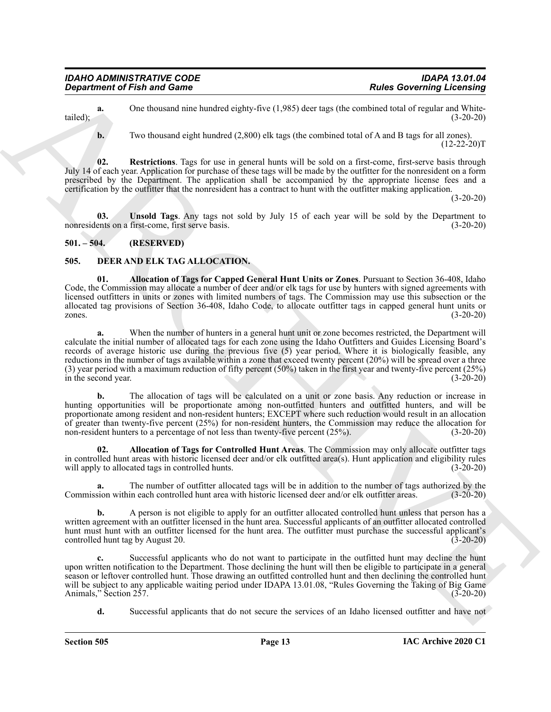**a.** One thousand nine hundred eighty-five (1,985) deer tags (the combined total of regular and White-<br>(3-20-20) tailed);  $(3-20-20)$ 

<span id="page-12-5"></span>**b.** Two thousand eight hundred (2,800) elk tags (the combined total of A and B tags for all zones).  $(12-22-20)$ T

**02. Restrictions**. Tags for use in general hunts will be sold on a first-come, first-serve basis through July 14 of each year. Application for purchase of these tags will be made by the outfitter for the nonresident on a form prescribed by the Department. The application shall be accompanied by the appropriate license fees and a certification by the outfitter that the nonresident has a contract to hunt with the outfitter making application.

(3-20-20)

<span id="page-12-6"></span>**03. Unsold Tags**. Any tags not sold by July 15 of each year will be sold by the Department to nonresidents on a first-come, first serve basis. (3-20-20)

# <span id="page-12-0"></span>**501. – 504. (RESERVED)**

# <span id="page-12-2"></span><span id="page-12-1"></span>**505. DEER AND ELK TAG ALLOCATION.**

<span id="page-12-3"></span>**01. Allocation of Tags for Capped General Hunt Units or Zones**. Pursuant to Section 36-408, Idaho Code, the Commission may allocate a number of deer and/or elk tags for use by hunters with signed agreements with licensed outfitters in units or zones with limited numbers of tags. The Commission may use this subsection or the allocated tag provisions of Section 36-408, Idaho Code, to allocate outfitter tags in capped general hunt units or zones. (3-20-20)

**Equation of Finit and Game<br>
Considering the Governing Licensing<br>
Undell,**  $R_{\text{eff}}$  **(1985) the two distribution of the state of the state of the state of the state of the state of the state of the state of the state of th a.** When the number of hunters in a general hunt unit or zone becomes restricted, the Department will calculate the initial number of allocated tags for each zone using the Idaho Outfitters and Guides Licensing Board's records of average historic use during the previous five (5) year period. Where it is biologically feasible, any reductions in the number of tags available within a zone that exceed twenty percent (20%) will be spread over a three (3) year period with a maximum reduction of fifty percent (50%) taken in the first year and twenty-five percent (25%) in the second year.  $(3-20-20)$ in the second year.

**b.** The allocation of tags will be calculated on a unit or zone basis. Any reduction or increase in hunting opportunities will be proportionate among non-outfitted hunters and outfitted hunters, and will be proportionate among resident and non-resident hunters; EXCEPT where such reduction would result in an allocation of greater than twenty-five percent (25%) for non-resident hunters, the Commission may reduce the allocation for non-resident hunters to a percentage of not less than twenty-five percent (25%). (3-20-20)

<span id="page-12-4"></span>**02. Allocation of Tags for Controlled Hunt Areas**. The Commission may only allocate outfitter tags in controlled hunt areas with historic licensed deer and/or elk outfitted area(s). Hunt application and eligibility rules will apply to allocated tags in controlled hunts. (3-20-20)

The number of outfitter allocated tags will be in addition to the number of tags authorized by the in each controlled hunt area with historic licensed deer and/or elk outfitter areas. (3-20-20) Commission within each controlled hunt area with historic licensed deer and/or elk outfitter areas.

**b.** A person is not eligible to apply for an outfitter allocated controlled hunt unless that person has a written agreement with an outfitter licensed in the hunt area. Successful applicants of an outfitter allocated controlled hunt must hunt with an outfitter licensed for the hunt area. The outfitter must purchase the successful applicant's controlled hunt tag by August 20. (3-20-20)

**c.** Successful applicants who do not want to participate in the outfitted hunt may decline the hunt upon written notification to the Department. Those declining the hunt will then be eligible to participate in a general season or leftover controlled hunt. Those drawing an outfitted controlled hunt and then declining the controlled hunt will be subject to any applicable waiting period under IDAPA 13.01.08, "Rules Governing the Taking of Big Game<br>Animals," Section 257. (3-20-20) Animals," Section 257.

**d.** Successful applicants that do not secure the services of an Idaho licensed outfitter and have not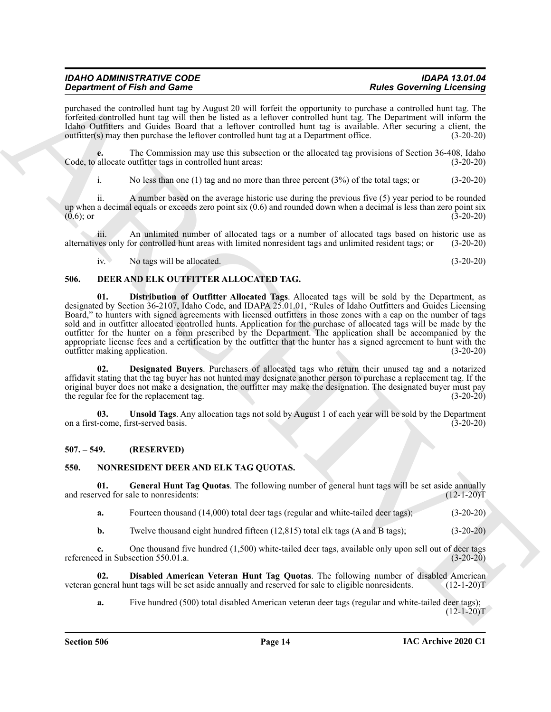| <b>IDAHO ADMINISTRATIVE CODE</b>   | <b>IDAPA 13.01.04</b>            |
|------------------------------------|----------------------------------|
| <b>Department of Fish and Game</b> | <b>Rules Governing Licensing</b> |

purchased the controlled hunt tag by August 20 will forfeit the opportunity to purchase a controlled hunt tag. The forfeited controlled hunt tag will then be listed as a leftover controlled hunt tag. The Department will inform the Idaho Outfitters and Guides Board that a leftover controlled hunt tag is available. After securing a client, the outfitter(s) may then purchase the leftover controlled hunt tag at a Department office. (3-20-20)

The Commission may use this subsection or the allocated tag provisions of Section 36-408, Idaho outfitter tags in controlled hunt areas: (3-20-20) Code, to allocate outfitter tags in controlled hunt areas:

i. No less than one (1) tag and no more than three percent (3%) of the total tags; or (3-20-20)

ii. A number based on the average historic use during the previous five (5) year period to be rounded up when a decimal equals or exceeds zero point six  $(0.6)$  and rounded down when a decimal is less than zero point six  $(0.6)$ ; or  $(3-20-20)$  $(0.6)$ ; or  $(3-20-20)$ 

iii. An unlimited number of allocated tags or a number of allocated tags based on historic use as alternatives only for controlled hunt areas with limited nonresident tags and unlimited resident tags; or (3-20-20)

<span id="page-13-5"></span><span id="page-13-3"></span>iv. No tags will be allocated. (3-20-20)

# <span id="page-13-0"></span>**506. DEER AND ELK OUTFITTER ALLOCATED TAG.**

**Singularized CP S and CB and CP S and CP set and CP set and CP set and CP set and CP set and CP set and CP set a<br>
purchase of the set and CP set al. (1) A studied and CP set al. (1) A studied and CP set al. (1) CP set al 01. Distribution of Outfitter Allocated Tags**. Allocated tags will be sold by the Department, as designated by Section 36-2107, Idaho Code, and IDAPA 25.01.01, "Rules of Idaho Outfitters and Guides Licensing Board," to hunters with signed agreements with licensed outfitters in those zones with a cap on the number of tags sold and in outfitter allocated controlled hunts. Application for the purchase of allocated tags will be made by the outfitter for the hunter on a form prescribed by the Department. The application shall be accompanied by the appropriate license fees and a certification by the outfitter that the hunter has a signed agreement to hunt with the outfitter making application. (3-20-20)

<span id="page-13-4"></span>**02. Designated Buyers**. Purchasers of allocated tags who return their unused tag and a notarized affidavit stating that the tag buyer has not hunted may designate another person to purchase a replacement tag. If the original buyer does not make a designation, the outfitter may make the designation. The designated buyer must pay the regular fee for the replacement tag. (3-20-20)

<span id="page-13-6"></span>**03. Unsold Tags**. Any allocation tags not sold by August 1 of each year will be sold by the Department on a first-come, first-served basis. (3-20-20)

#### <span id="page-13-1"></span>**507. – 549. (RESERVED)**

#### <span id="page-13-7"></span><span id="page-13-2"></span>**550. NONRESIDENT DEER AND ELK TAG QUOTAS.**

**01.** General Hunt Tag Quotas. The following number of general hunt tags will be set aside annually ved for sale to nonresidents: (12-1-20) and reserved for sale to nonresidents:

<span id="page-13-9"></span>**a.** Fourteen thousand (14,000) total deer tags (regular and white-tailed deer tags); (3-20-20)

**b.** Twelve thousand eight hundred fifteen (12,815) total elk tags (A and B tags); (3-20-20)

**c.** One thousand five hundred (1,500) white-tailed deer tags, available only upon sell out of deer tags ed in Subsection 550.01.a. (3-20-20) referenced in Subsection 550.01.a.

**02. Disabled American Veteran Hunt Tag Quotas**. The following number of disabled American veteran general hunt tags will be set aside annually and reserved for sale to eligible nonresidents. (12-1-20)T

<span id="page-13-8"></span>**a.** Five hundred (500) total disabled American veteran deer tags (regular and white-tailed deer tags);  $(12-1-20)T$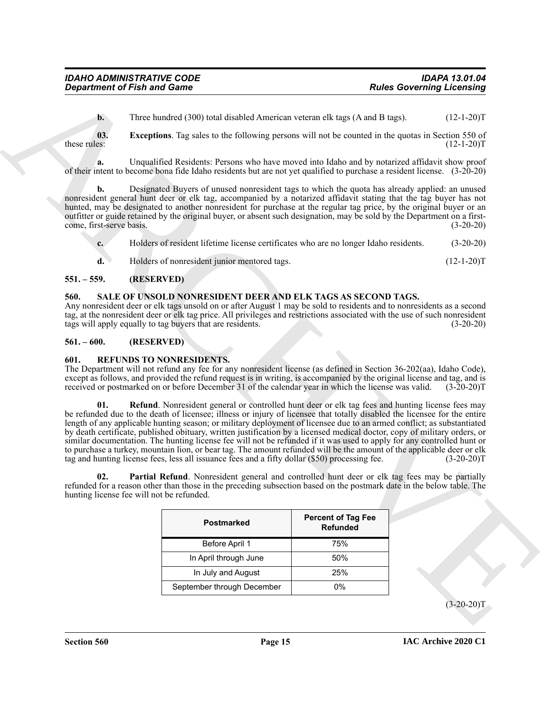<span id="page-14-4"></span>**b.** Three hundred (300) total disabled American veteran elk tags (A and B tags). (12-1-20)T

**03. Exceptions**. Tag sales to the following persons will not be counted in the quotas in Section 550 of these rules: (12-1-20)T

**a.** Unqualified Residents: Persons who have moved into Idaho and by notarized affidavit show proof of their intent to become bona fide Idaho residents but are not yet qualified to purchase a resident license. (3-20-20)

**b.** Designated Buyers of unused nonresident tags to which the quota has already applied: an unused nonresident general hunt deer or elk tag, accompanied by a notarized affidavit stating that the tag buyer has not hunted, may be designated to another nonresident for purchase at the regular tag price, by the original buyer or an outfitter or guide retained by the original buyer, or absent such designation, may be sold by the Department on a firstcome, first-serve basis. (3-20-20)

| $c_{\cdot}$    | Holders of resident lifetime license certificates who are no longer Idaho residents. | $(3-20-20)$  |
|----------------|--------------------------------------------------------------------------------------|--------------|
| $\mathbf{d}$ . | Holders of nonresident junior mentored tags.                                         | $(12-1-20)T$ |

#### <span id="page-14-0"></span>**551. – 559. (RESERVED)**

# <span id="page-14-8"></span><span id="page-14-1"></span>**560. SALE OF UNSOLD NONRESIDENT DEER AND ELK TAGS AS SECOND TAGS.**

Any nonresident deer or elk tags unsold on or after August 1 may be sold to residents and to nonresidents as a second tag, at the nonresident deer or elk tag price. All privileges and restrictions associated with the use of such nonresident tags will apply equally to tag buyers that are residents. (3-20-20)

#### <span id="page-14-2"></span>**561. – 600. (RESERVED)**

#### <span id="page-14-5"></span><span id="page-14-3"></span>**601. REFUNDS TO NONRESIDENTS.**

<span id="page-14-7"></span>The Department will not refund any fee for any nonresident license (as defined in Section 36-202(aa), Idaho Code), except as follows, and provided the refund request is in writing, is accompanied by the original license and tag, and is received or postmarked on or before December 31 of the calendar year in which the license was valid. (3-20-20)T

**Expansion of Fish and Games**<br>
The summarized DNN total distribution vectors when (A and D and Constraint) Licensing<br>
the resulting Tree and CNN total distribution vectors when the line of the summarized process of the Fi **01. Refund**. Nonresident general or controlled hunt deer or elk tag fees and hunting license fees may be refunded due to the death of licensee; illness or injury of licensee that totally disabled the licensee for the entire length of any applicable hunting season; or military deployment of licensee due to an armed conflict; as substantiated by death certificate, published obituary, written justification by a licensed medical doctor, copy of military orders, or similar documentation. The hunting license fee will not be refunded if it was used to apply for any controlled hunt or to purchase a turkey, mountain lion, or bear tag. The amount refunded will be the amount of the applicable deer or elk tag and hunting license fees, less all issuance fees and a fifty dollar (\$50) processing fee. (3-20-20) tag and hunting license fees, less all issuance fees and a fifty dollar (\$50) processing fee.

**02. Partial Refund**. Nonresident general and controlled hunt deer or elk tag fees may be partially refunded for a reason other than those in the preceding subsection based on the postmark date in the below table. The hunting license fee will not be refunded.

<span id="page-14-6"></span>

| <b>Postmarked</b>          | <b>Percent of Tag Fee</b><br><b>Refunded</b> |
|----------------------------|----------------------------------------------|
| Before April 1             | 75%                                          |
| In April through June      | 50%                                          |
| In July and August         | 25%                                          |
| September through December | በ%                                           |

 $(3-20-20)$ T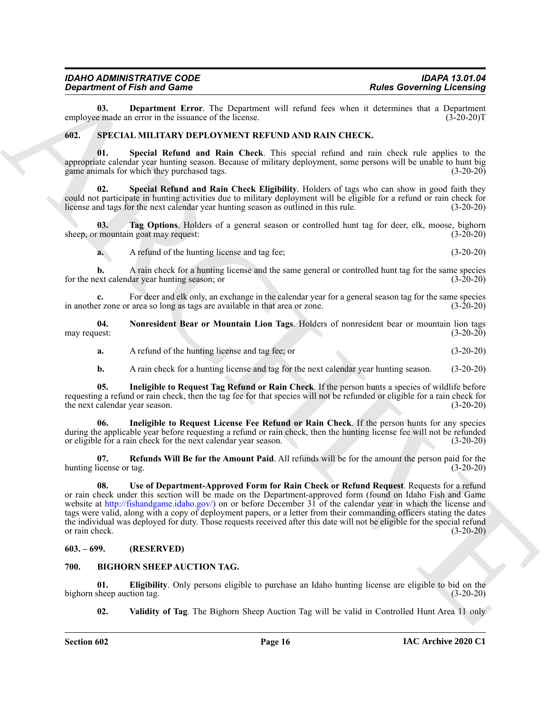#### *IDAHO ADMINISTRATIVE CODE IDAPA 13.01.04 Department of Fish and Game*

<span id="page-15-6"></span>**03.** Department Error. The Department will refund fees when it determines that a Department e made an error in the issuance of the license. (3-20-20) employee made an error in the issuance of the license.

#### <span id="page-15-7"></span><span id="page-15-0"></span>**602. SPECIAL MILITARY DEPLOYMENT REFUND AND RAIN CHECK.**

<span id="page-15-12"></span>**01. Special Refund and Rain Check**. This special refund and rain check rule applies to the appropriate calendar year hunting season. Because of military deployment, some persons will be unable to hunt big game animals for which they purchased tags. (3-20-20)

<span id="page-15-13"></span>**Special Refund and Rain Check Eligibility**. Holders of tags who can show in good faith they could not participate in hunting activities due to military deployment will be eligible for a refund or rain check for license and tags for the next calendar year hunting season as outlined in this rule. (3-20-20) license and tags for the next calendar year hunting season as outlined in this rule.

**03. Tag Options**. Holders of a general season or controlled hunt tag for deer, elk, moose, bighorn sheep, or mountain goat may request: (3-20-20)

<span id="page-15-14"></span>**a.** A refund of the hunting license and tag fee; (3-20-20)

**b.** A rain check for a hunting license and the same general or controlled hunt tag for the same species ext calendar year hunting season; or (3-20-20) for the next calendar year hunting season; or

**c.** For deer and elk only, an exchange in the calendar year for a general season tag for the same species or zone or area so long as tags are available in that area or zone. (3-20-20) in another zone or area so long as tags are available in that area or zone.

**04. Nonresident Bear or Mountain Lion Tags**. Holders of nonresident bear or mountain lion tags may request:

- <span id="page-15-10"></span>**a.** A refund of the hunting license and tag fee; or (3-20-20)
- <span id="page-15-9"></span><span id="page-15-8"></span>**b.** A rain check for a hunting license and tag for the next calendar year hunting season. (3-20-20)

**05. Ineligible to Request Tag Refund or Rain Check**. If the person hunts a species of wildlife before requesting a refund or rain check, then the tag fee for that species will not be refunded or eligible for a rain check for the next calendar year season. (3-20-20)

**06. Ineligible to Request License Fee Refund or Rain Check**. If the person hunts for any species during the applicable year before requesting a refund or rain check, then the hunting license fee will not be refunded or eligible for a rain check for the next calendar year season. (3-20-20)

<span id="page-15-15"></span><span id="page-15-11"></span>**07. Refunds Will Be for the Amount Paid**. All refunds will be for the amount the person paid for the hunting license or tag. (3-20-20)

**Equivalent of Finit and Construction** 1. Real Development will be shown in the state Governing Licensino<br>
and the state of the bigged of the state of the state of the state of the state of the state of the state of the s **08. Use of Department-Approved Form for Rain Check or Refund Request**. Requests for a refund or rain check under this section will be made on the Department-approved form (found on Idaho Fish and Game website at http://fishandgame.idaho.gov/) on or before December 31 of the calendar year in which the license and tags were valid, along with a copy of deployment papers, or a letter from their commanding officers stating the dates the individual was deployed for duty. Those requests received after this date will not be eligible for the special refund or rain check. (3-20-20)

#### <span id="page-15-1"></span>**603. – 699. (RESERVED)**

#### <span id="page-15-3"></span><span id="page-15-2"></span>**700. BIGHORN SHEEP AUCTION TAG.**

**01. Eligibility**. Only persons eligible to purchase an Idaho hunting license are eligible to bid on the sheep auction tag. (3-20-20) bighorn sheep auction tag.

<span id="page-15-5"></span><span id="page-15-4"></span>**02. Validity of Tag**. The Bighorn Sheep Auction Tag will be valid in Controlled Hunt Area 11 only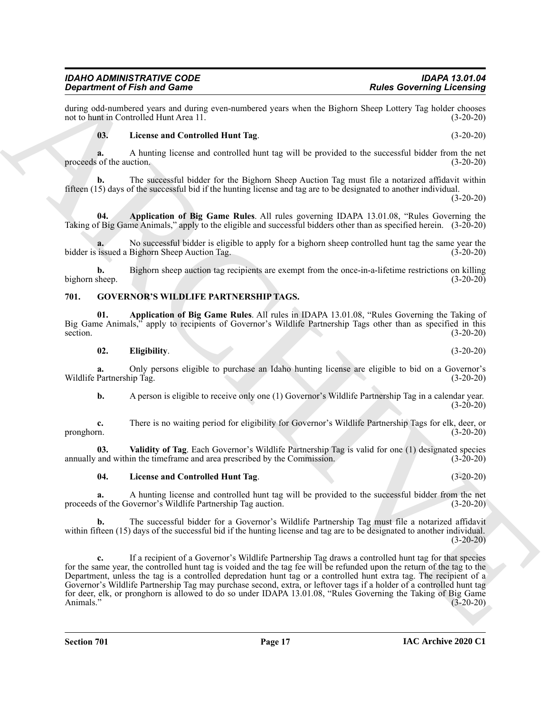during odd-numbered years and during even-numbered years when the Bighorn Sheep Lottery Tag holder chooses not to hunt in Controlled Hunt Area 11. not to hunt in Controlled Hunt Area 11.

#### <span id="page-16-2"></span>**03. License and Controlled Hunt Tag**. (3-20-20)

**a.** A hunting license and controlled hunt tag will be provided to the successful bidder from the net of the auction. (3-20-20) proceeds of the auction.

**b.** The successful bidder for the Bighorn Sheep Auction Tag must file a notarized affidavit within fifteen (15) days of the successful bid if the hunting license and tag are to be designated to another individual.

 $(3-20-20)$ 

<span id="page-16-1"></span>**04. Application of Big Game Rules**. All rules governing IDAPA 13.01.08, "Rules Governing the Taking of Big Game Animals," apply to the eligible and successful bidders other than as specified herein. (3-20-20)

No successful bidder is eligible to apply for a bighorn sheep controlled hunt tag the same year the Bighorn Sheep Auction Tag. (3-20-20) bidder is issued a Bighorn Sheep Auction Tag.

**b.** Bighorn sheep auction tag recipients are exempt from the once-in-a-lifetime restrictions on killing bighorn sheep.  $(3-20-20)$ 

#### <span id="page-16-3"></span><span id="page-16-0"></span>**701. GOVERNOR'S WILDLIFE PARTNERSHIP TAGS.**

**01. Application of Big Game Rules**. All rules in IDAPA 13.01.08, "Rules Governing the Taking of Big Game Animals," apply to recipients of Governor's Wildlife Partnership Tags other than as specified in this section.<br>(3-20-20) section. (3-20-20)

#### <span id="page-16-5"></span><span id="page-16-4"></span>**02. Eligibility**. (3-20-20)

**a.** Only persons eligible to purchase an Idaho hunting license are eligible to bid on a Governor's Wildlife Partnership Tag. (3-20-20)

**b.** A person is eligible to receive only one (1) Governor's Wildlife Partnership Tag in a calendar year.  $(3-20-20)$ 

**c.** There is no waiting period for eligibility for Governor's Wildlife Partnership Tags for elk, deer, or pronghorn. (3-20-20) pronghorn. (3-20-20)

**03.** Validity of Tag. Each Governor's Wildlife Partnership Tag is valid for one (1) designated species and within the timeframe and area prescribed by the Commission. (3-20-20) annually and within the timeframe and area prescribed by the Commission.

#### <span id="page-16-7"></span><span id="page-16-6"></span>**04. License and Controlled Hunt Tag**. (3-20-20)

**a.** A hunting license and controlled hunt tag will be provided to the successful bidder from the net proceeds of the Governor's Wildlife Partnership Tag auction. (3-20-20)

**b.** The successful bidder for a Governor's Wildlife Partnership Tag must file a notarized affidavit within fifteen (15) days of the successful bid if the hunting license and tag are to be designated to another individual.  $(3-20-20)$ 

Gradrian of Find and Connective Control in the United Sciences of the Connective Connective Connective Connective Connective Connective Connective Connective Connective Connective Connective Connective Connective Connecti **c.** If a recipient of a Governor's Wildlife Partnership Tag draws a controlled hunt tag for that species for the same year, the controlled hunt tag is voided and the tag fee will be refunded upon the return of the tag to the Department, unless the tag is a controlled depredation hunt tag or a controlled hunt extra tag. The recipient of a Governor's Wildlife Partnership Tag may purchase second, extra, or leftover tags if a holder of a controlled hunt tag for deer, elk, or pronghorn is allowed to do so under IDAPA 13.01.08, "Rules Governing the Taking of Big Game Animals." (3-20-20)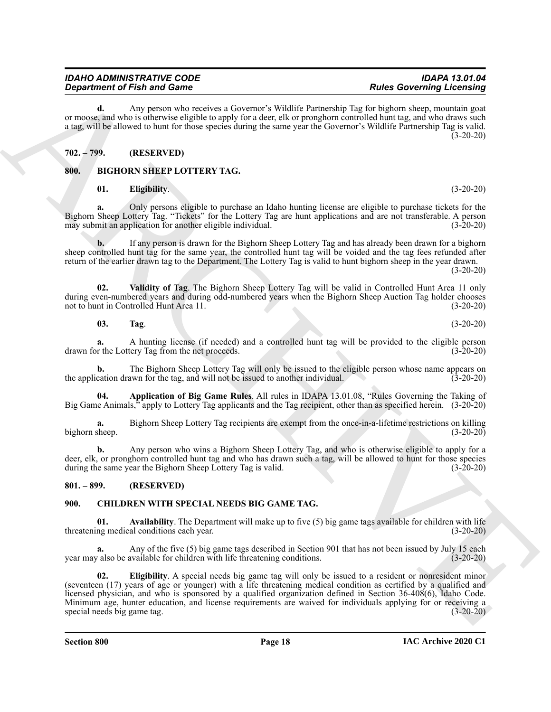**d.** Any person who receives a Governor's Wildlife Partnership Tag for bighorn sheep, mountain goat or moose, and who is otherwise eligible to apply for a deer, elk or pronghorn controlled hunt tag, and who draws such a tag, will be allowed to hunt for those species during the same year the Governor's Wildlife Partnership Tag is valid.  $(3-20-20)$ 

# <span id="page-17-0"></span>**702. – 799. (RESERVED)**

# <span id="page-17-1"></span>**800. BIGHORN SHEEP LOTTERY TAG.**

#### <span id="page-17-6"></span><span id="page-17-4"></span>**01. Eligibility**. (3-20-20)

**a.** Only persons eligible to purchase an Idaho hunting license are eligible to purchase tickets for the Bighorn Sheep Lottery Tag. "Tickets" for the Lottery Tag are hunt applications and are not transferable. A person may submit an application for another eligible individual. (3-20-20)

**b.** If any person is drawn for the Bighorn Sheep Lottery Tag and has already been drawn for a bighorn sheep controlled hunt tag for the same year, the controlled hunt tag will be voided and the tag fees refunded after return of the earlier drawn tag to the Department. The Lottery Tag is valid to hunt bighorn sheep in the year drawn.

 $(3-20-20)$ 

**02. Validity of Tag**. The Bighorn Sheep Lottery Tag will be valid in Controlled Hunt Area 11 only during even-numbered years and during odd-numbered years when the Bighorn Sheep Auction Tag holder chooses not to hunt in Controlled Hunt Area 11. not to hunt in Controlled Hunt Area 11.

**a.** A hunting license (if needed) and a controlled hunt tag will be provided to the eligible person or the Lottery Tag from the net proceeds. (3-20-20) drawn for the Lottery Tag from the net proceeds.

**b.** The Bighorn Sheep Lottery Tag will only be issued to the eligible person whose name appears on cation drawn for the tag, and will not be issued to another individual. (3-20-20) the application drawn for the tag, and will not be issued to another individual.

<span id="page-17-5"></span>**04. Application of Big Game Rules**. All rules in IDAPA 13.01.08, "Rules Governing the Taking of Big Game Animals," apply to Lottery Tag applicants and the Tag recipient, other than as specified herein. (3-20-20)

**a.** Bighorn Sheep Lottery Tag recipients are exempt from the once-in-a-lifetime restrictions on killing bighorn sheep. (3-20-20)

**b.** Any person who wins a Bighorn Sheep Lottery Tag, and who is otherwise eligible to apply for a deer, elk, or pronghorn controlled hunt tag and who has drawn such a tag, will be allowed to hunt for those species during the same year the Bighorn Sheep Lottery Tag is valid. (3-20-20) during the same year the Bighorn Sheep Lottery Tag is valid.

#### <span id="page-17-2"></span>**801. – 899. (RESERVED)**

# <span id="page-17-9"></span><span id="page-17-3"></span>**900. CHILDREN WITH SPECIAL NEEDS BIG GAME TAG.**

<span id="page-17-10"></span>**01. Availability**. The Department will make up to five (5) big game tags available for children with life threatening medical conditions each year. (3-20-20)

<span id="page-17-11"></span>**a.** Any of the five (5) big game tags described in Section 901 that has not been issued by July 15 each year may also be available for children with life threatening conditions. (3-20-20)

**Considered Find and Considered Find and Constant Tax Links Consider the Links Constant Tax Links Constant Tax Links Consider the state of the state of the state of the state of the state of the state of the state of the 02. Eligibility**. A special needs big game tag will only be issued to a resident or nonresident minor (seventeen (17) years of age or younger) with a life threatening medical condition as certified by a qualified and licensed physician, and who is sponsored by a qualified organization defined in Section 36-408(6), Idaho Code. Minimum age, hunter education, and license requirements are waived for individuals applying for or receiving a special needs big game tag. (3-20-20)

<span id="page-17-8"></span><span id="page-17-7"></span>**03. Tag**. (3-20-20)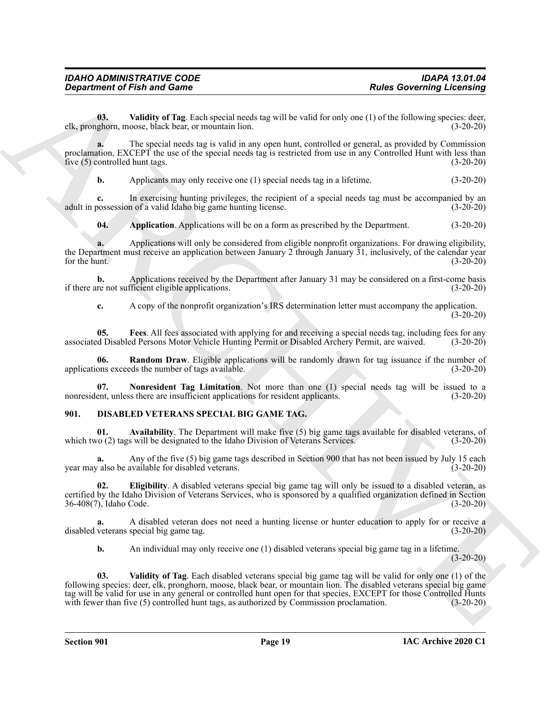<span id="page-18-5"></span>**03. Validity of Tag**. Each special needs tag will be valid for only one (1) of the following species: deer, elk, pronghorn, moose, black bear, or mountain lion. (3-20-20)

**a.** The special needs tag is valid in any open hunt, controlled or general, as provided by Commission proclamation, EXCEPT the use of the special needs tag is restricted from use in any Controlled Hunt with less than five (5) controlled hunt tags. (3-20-20) five  $(5)$  controlled hunt tags.

**b.** Applicants may only receive one (1) special needs tag in a lifetime.  $(3-20-20)$ 

**c.** In exercising hunting privileges, the recipient of a special needs tag must be accompanied by an adult in possession of a valid Idaho big game hunting license. (3-20-20)

<span id="page-18-1"></span>**04. Application**. Applications will be on a form as prescribed by the Department. (3-20-20)

**a.** Applications will only be considered from eligible nonprofit organizations. For drawing eligibility, the Department must receive an application between January 2 through January 31, inclusively, of the calendar year<br>for the hunt. (3-20-20) for the hunt.  $(3-20-20)$ 

**b.** Applications received by the Department after January 31 may be considered on a first-come basis if there are not sufficient eligible applications. (3-20-20)

<span id="page-18-4"></span><span id="page-18-2"></span>**c.** A copy of the nonprofit organization's IRS determination letter must accompany the application. (3-20-20)

**05. Fees**. All fees associated with applying for and receiving a special needs tag, including fees for any associated Disabled Persons Motor Vehicle Hunting Permit or Disabled Archery Permit, are waived. (3-20-20)

**06. Random Draw**. Eligible applications will be randomly drawn for tag issuance if the number of applications exceeds the number of tags available. (3-20-20)

<span id="page-18-3"></span>**07. Nonresident Tag Limitation**. Not more than one (1) special needs tag will be issued to a nonresident, unless there are insufficient applications for resident applicants. (3-20-20)

#### <span id="page-18-6"></span><span id="page-18-0"></span>**901. DISABLED VETERANS SPECIAL BIG GAME TAG.**

<span id="page-18-7"></span>**01. Availability**. The Department will make five (5) big game tags available for disabled veterans, of which two (2) tags will be designated to the Idaho Division of Veterans Services. (3-20-20)

**a.** Any of the five (5) big game tags described in Section 900 that has not been issued by July 15 each ralso be available for disabled veterans. year may also be available for disabled veterans.

<span id="page-18-8"></span>**02. Eligibility**. A disabled veterans special big game tag will only be issued to a disabled veteran, as certified by the Idaho Division of Veterans Services, who is sponsored by a qualified organization defined in Section 36-408(7), Idaho Code. (3-20-20)

**a.** A disabled veteran does not need a hunting license or hunter education to apply for or receive a disabled veterans special big game tag. (3-20-20)

<span id="page-18-9"></span>**b.** An individual may only receive one (1) disabled veterans special big game tag in a lifetime. (3-20-20)

**Experiment of Fish and Game**<br>
Considers determine a numerical metallity and the valid for each pose of the distortionary expected to the state of the state of the state of the state of the state of the state of the state **03. Validity of Tag**. Each disabled veterans special big game tag will be valid for only one (1) of the following species: deer, elk, pronghorn, moose, black bear, or mountain lion. The disabled veterans special big game tag will be valid for use in any general or controlled hunt open for that species, EXCEPT for those Controlled Hunts<br>with fewer than five (5) controlled hunt tags, as authorized by Commission proclamation. (3-20-20) with fewer than five (5) controlled hunt tags, as authorized by Commission proclamation.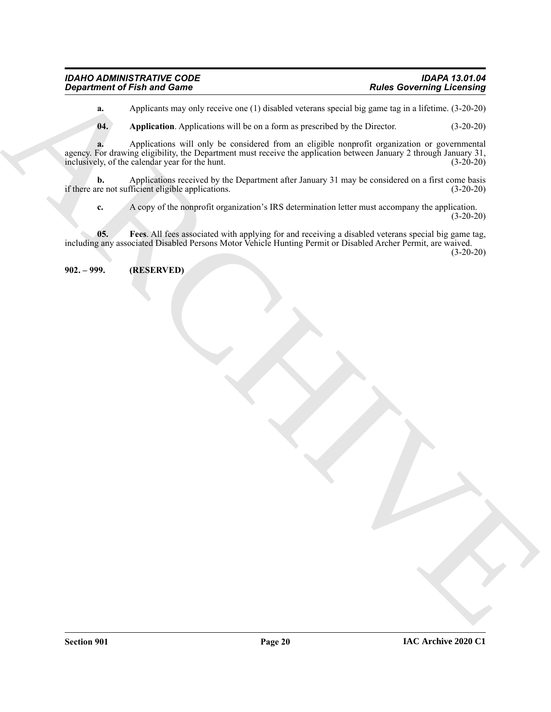| <b>IDAHO ADMINISTRATIVE CODE</b>   | <b>IDAPA 13.01.04</b>            |
|------------------------------------|----------------------------------|
| <b>Department of Fish and Game</b> | <b>Rules Governing Licensing</b> |

**a.** Applicants may only receive one (1) disabled veterans special big game tag in a lifetime. (3-20-20)

<span id="page-19-1"></span>**04. Application**. Applications will be on a form as prescribed by the Director. (3-20-20)

**Considered of Finite and Comes<br>
Applications are specified by the state of the state of the state of the state of the state of the state of the state of the state of the state of the state of the state of the state of t a.** Applications will only be considered from an eligible nonprofit organization or governmental agency. For drawing eligibility, the Department must receive the application between January 2 through January 31, inclusively, of the calendar year for the hunt. (3-20-20) inclusively, of the calendar year for the hunt.

**b.** Applications received by the Department after January 31 may be considered on a first come basis re not sufficient eligible applications. (3-20-20) if there are not sufficient eligible applications.

<span id="page-19-2"></span>**c.** A copy of the nonprofit organization's IRS determination letter must accompany the application. (3-20-20)

**05. Fees**. All fees associated with applying for and receiving a disabled veterans special big game tag, including any associated Disabled Persons Motor Vehicle Hunting Permit or Disabled Archer Permit, are waived. (3-20-20)

<span id="page-19-0"></span>**902. – 999. (RESERVED)**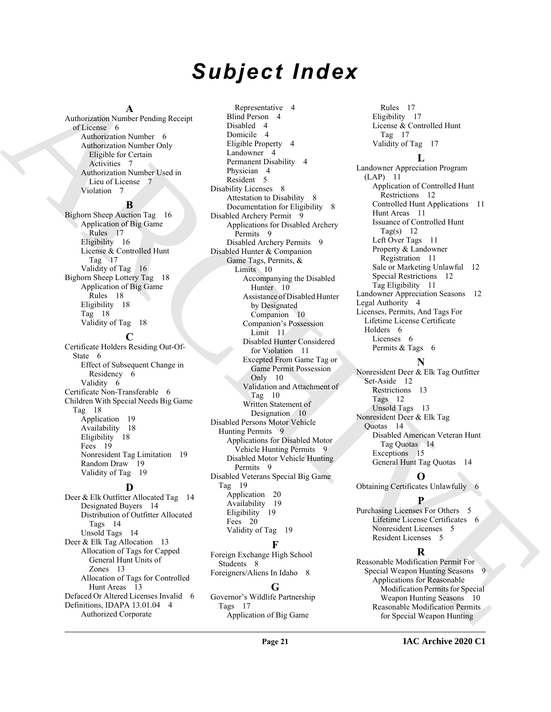# *Subject Index*

#### **A**

Authorization Number Pending Receipt of License 6 Authorization Number 6 Authorization Number Only Eligible for Certain Activities 7 Authorization Number Used in Lieu of License 7 Violation 7

#### **B**

Bighorn Sheep Auction Tag 16 Application of Big Game Rules 17 Eligibility 16 License & Controlled Hunt Tag  $17$ Validity of Tag 16 Bighorn Sheep Lottery Tag 18 Application of Big Game Rules 18 Eligibility 18 Tag 18 Validity of Tag 18

#### **C**

Certificate Holders Residing Out-Of-State 6 Effect of Subsequent Change in Residency 6 Validity 6 Certificate Non-Transferable 6 Children With Special Needs Big Game Tag 18 Application 19 Availability 18 Eligibility 18 Fees 19 Nonresident Tag Limitation 19 Random Draw 19 Validity of Tag 19

#### **D**

Deer & Elk Outfitter Allocated Tag 14 Designated Buyers 14 Distribution of Outfitter Allocated Tags 14 Unsold Tags 14 Deer & Elk Tag Allocation 13 Allocation of Tags for Capped General Hunt Units of Zones 13 Allocation of Tags for Controlled Hunt Areas 13 Defaced Or Altered Licenses Invalid 6 Definitions, IDAPA 13.01.04 4 Authorized Corporate

[A](#page-6-4)nd [C](#page-9-3)ontainer Process Pacific Marchives (Allies Container Container Container Container (Allies Container Container Container Container (Allies Container Container Container Container (Allies Container Container Container Representative 4 Blind Person 4 Disabled 4 Domicile 4 Eligible Property 4 Landowner 4 Permanent Disability 4 Physician 4 Resident 5 Disability Licenses 8 Attestation to Disability 8 Documentation for Eligibility 8 Disabled Archery Permit 9 Applications for Disabled Archery Permits 9 Disabled Archery Permits 9 Disabled Hunter & Companion Game Tags, Permits, & Limits 10 Accompanying the Disabled Hunter 10 Assistance of Disabled Hunter by Designated Companion 10 Companion's Possession Limit 11 Disabled Hunter Considered for Violation 11 Excepted From Game Tag or Game Permit Possession Only 10 Validation and Attachment of Tag 10 Written Statement of Designation 10 Disabled Persons Motor Vehicle Hunting Permits 9 Applications for Disabled Motor Vehicle Hunting Permits 9 Disabled Motor Vehicle Hunting Permits 9 Disabled Veterans Special Big Game Tag 19 Application 20 Availability 19 Eligibility 19 Fees 20 Validity of Tag 19 **F**

Foreign Exchange High School Students 8 Foreigners/Aliens In Idaho 8

#### **G**

Governor's Wildlife Partnership Tags 17 Application of Big Game

Rules 17 Eligibility 17 License & Controlled Hunt Tag 17 Validity of Tag 17

# **L**

Landowner Appreciation Program (LAP) 11 Application of Controlled Hunt Restrictions 12 Controlled Hunt Applications 11 Hunt Areas 11 Issuance of Controlled Hunt Tag(s)  $12$ Left Over Tags 11 Property & Landowner Registration 11 Sale or Marketing Unlawful 12 Special Restrictions 12 Tag Eligibility 11 Landowner Appreciation Seasons 12 Legal Authority 4 Licenses, Permits, And Tags For Lifetime License Certificate Holders 6 Licenses 6 Permits & Tags 6

### **N**

Nonresident Deer & Elk Tag Outfitter Set-Aside 12 Restrictions 13 Tags 12 Unsold Tags 13 Nonresident Deer & Elk Tag Quotas 14 Disabled American Veteran Hunt Tag Quotas 14 Exceptions 15 General Hunt Tag Quotas 14

**O** Obtaining Certificates Unlawfully 6

#### **P**

Purchasing Licenses For Others 5 Lifetime License Certificates 6 Nonresident Licenses 5 Resident Licenses 5

#### **R**

Reasonable Modification Permit For Special Weapon Hunting Seasons 9 Applications for Reasonable Modification Permits for Special Weapon Hunting Seasons 10 Reasonable Modification Permits for Special Weapon Hunting